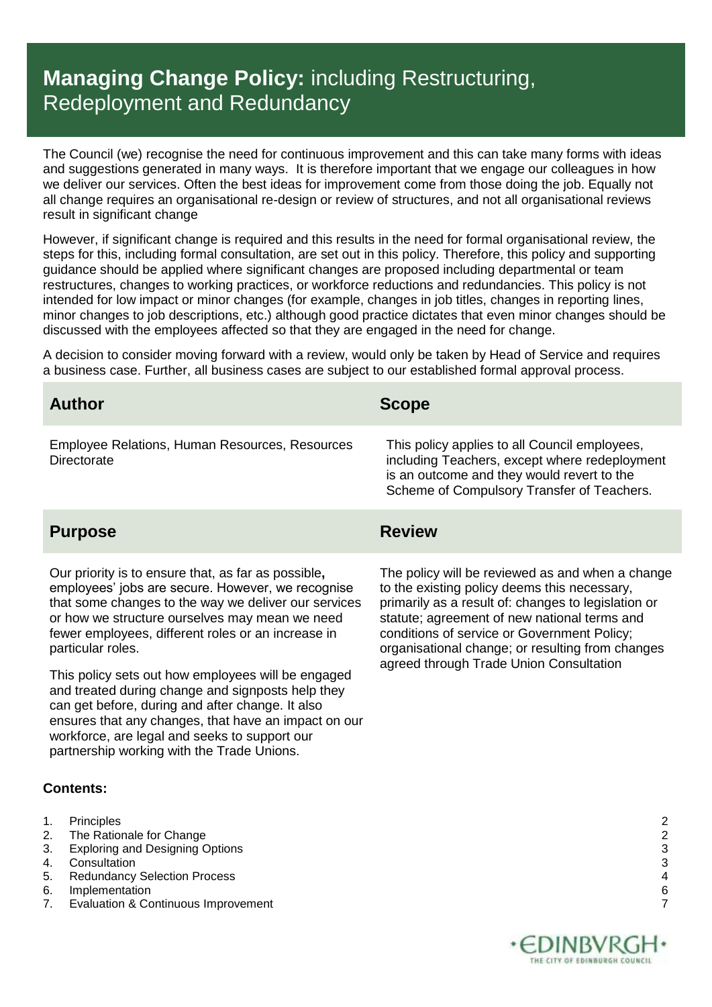### **Managing Change Policy:** including Restructuring, Redeployment and Redundancy

The Council (we) recognise the need for continuous improvement and this can take many forms with ideas and suggestions generated in many ways. It is therefore important that we engage our colleagues in how we deliver our services. Often the best ideas for improvement come from those doing the job. Equally not all change requires an organisational re-design or review of structures, and not all organisational reviews result in significant change

However, if significant change is required and this results in the need for formal organisational review, the steps for this, including formal consultation, are set out in this policy. Therefore, this policy and supporting guidance should be applied where significant changes are proposed including departmental or team restructures, changes to working practices, or workforce reductions and redundancies. This policy is not intended for low impact or minor changes (for example, changes in job titles, changes in reporting lines, minor changes to job descriptions, etc.) although good practice dictates that even minor changes should be discussed with the employees affected so that they are engaged in the need for change.

A decision to consider moving forward with a review, would only be taken by Head of Service and requires a business case. Further, all business cases are subject to our established formal approval process.

| <b>Author</b>                                                 | <b>Scope</b>                                                                                                                                                                               |
|---------------------------------------------------------------|--------------------------------------------------------------------------------------------------------------------------------------------------------------------------------------------|
| Employee Relations, Human Resources, Resources<br>Directorate | This policy applies to all Council employees,<br>including Teachers, except where redeployment<br>is an outcome and they would revert to the<br>Scheme of Compulsory Transfer of Teachers. |
|                                                               |                                                                                                                                                                                            |

### **Purpose Review**

Our priority is to ensure that, as far as possible**,**  employees' jobs are secure. However, we recognise that some changes to the way we deliver our services or how we structure ourselves may mean we need fewer employees, different roles or an increase in particular roles.

This policy sets out how employees will be engaged and treated during change and signposts help they can get before, during and after change. It also ensures that any changes, that have an impact on our workforce, are legal and seeks to support our partnership working with the Trade Unions.

### **Contents:**

- 1. [Principles](#page-1-0) 2
- 2. [The Rationale for Change](#page-1-1) 22. The Rationale for Change 22. The Rationale for Change 22. 22. 23. Exploring and Designing Options
- 3. [Exploring and Designing Options](#page-2-0)
- 4. [Consultation](#page-2-1) 3
- 5. [Redundancy Selection Process](#page-3-0) 4
- 6. [Implementation](#page-5-0) 6
- 7. [Evaluation & Continuous Improvement](#page-6-0) 7 and 7 and 7 and 7 and 7 and 7 and 7 and 7 and 7 and 7 and 7 and 7 and 7 and 7 and 7 and 7 and 7 and 7 and 7 and 7 and 7 and 7 and 7 and 7 and 7 and 7 and 7 and 7 and 7 and 7 and 7 a

The policy will be reviewed as and when a change to the existing policy deems this necessary, primarily as a result of: changes to legislation or statute; agreement of new national terms and conditions of service or Government Policy; organisational change; or resulting from changes agreed through Trade Union Consultation



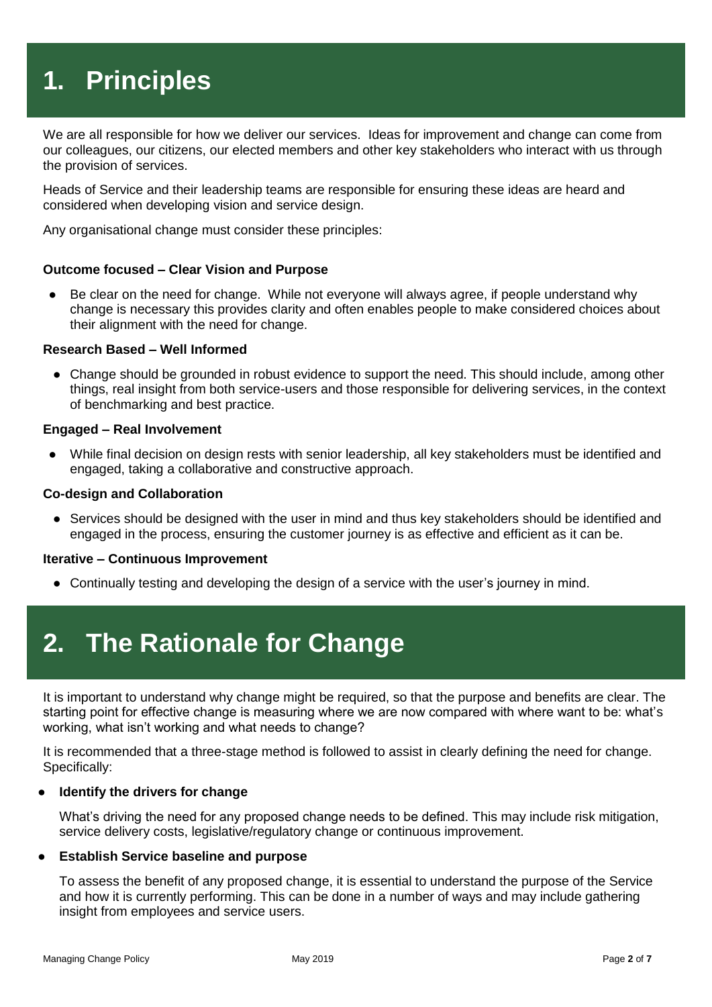# <span id="page-1-0"></span>**1. Principles**

We are all responsible for how we deliver our services. Ideas for improvement and change can come from our colleagues, our citizens, our elected members and other key stakeholders who interact with us through the provision of services.

Heads of Service and their leadership teams are responsible for ensuring these ideas are heard and considered when developing vision and service design.

Any organisational change must consider these principles:

#### **Outcome focused – Clear Vision and Purpose**

● Be clear on the need for change. While not everyone will always agree, if people understand why change is necessary this provides clarity and often enables people to make considered choices about their alignment with the need for change.

#### **Research Based – Well Informed**

● Change should be grounded in robust evidence to support the need. This should include, among other things, real insight from both service-users and those responsible for delivering services, in the context of benchmarking and best practice.

#### **Engaged – Real Involvement**

● While final decision on design rests with senior leadership, all key stakeholders must be identified and engaged, taking a collaborative and constructive approach.

#### **Co-design and Collaboration**

• Services should be designed with the user in mind and thus key stakeholders should be identified and engaged in the process, ensuring the customer journey is as effective and efficient as it can be.

#### **Iterative – Continuous Improvement**

<span id="page-1-1"></span>● Continually testing and developing the design of a service with the user's journey in mind.

### **2. The Rationale for Change**

It is important to understand why change might be required, so that the purpose and benefits are clear. The starting point for effective change is measuring where we are now compared with where want to be: what's working, what isn't working and what needs to change?

It is recommended that a three-stage method is followed to assist in clearly defining the need for change. Specifically:

#### **Identify the drivers for change**

What's driving the need for any proposed change needs to be defined. This may include risk mitigation, service delivery costs, legislative/regulatory change or continuous improvement.

#### **Establish Service baseline and purpose**

To assess the benefit of any proposed change, it is essential to understand the purpose of the Service and how it is currently performing. This can be done in a number of ways and may include gathering insight from employees and service users.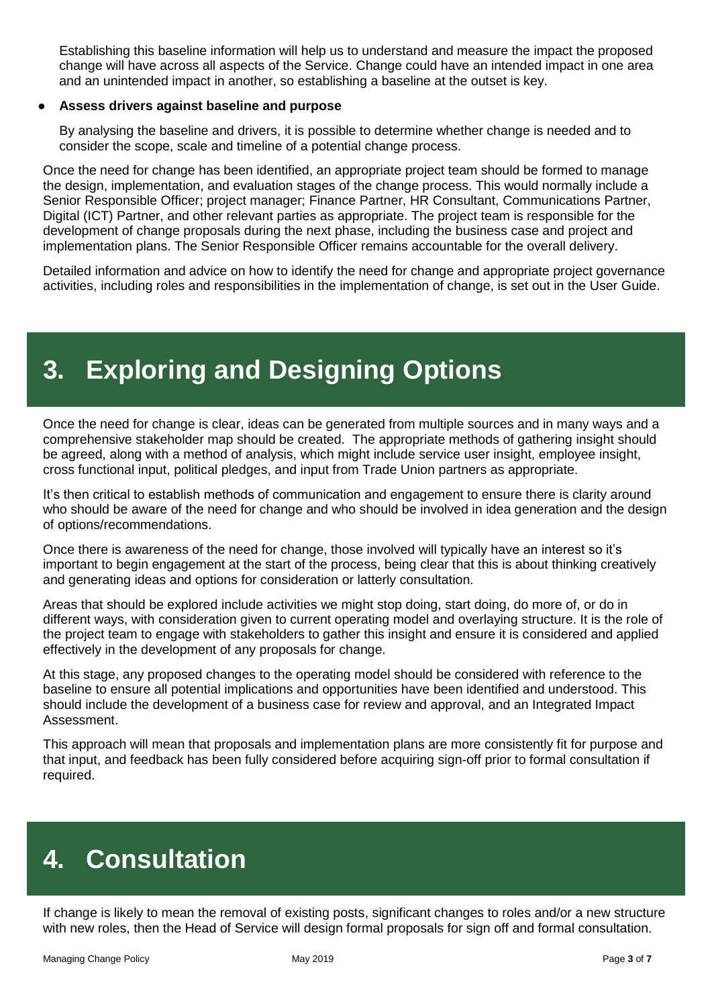Establishing this baseline information will help us to understand and measure the impact the proposed change will have across all aspects of the Service. Change could have an intended impact in one area and an unintended impact in another, so establishing a baseline at the outset is key.

### ● **Assess drivers against baseline and purpose**

By analysing the baseline and drivers, it is possible to determine whether change is needed and to consider the scope, scale and timeline of a potential change process.

Once the need for change has been identified, an appropriate project team should be formed to manage the design, implementation, and evaluation stages of the change process. This would normally include a Senior Responsible Officer; project manager; Finance Partner, HR Consultant, Communications Partner, Digital (ICT) Partner, and other relevant parties as appropriate. The project team is responsible for the development of change proposals during the next phase, including the business case and project and implementation plans. The Senior Responsible Officer remains accountable for the overall delivery.

Detailed information and advice on how to identify the need for change and appropriate project governance activities, including roles and responsibilities in the implementation of change, is set out in the User Guide.

## <span id="page-2-0"></span>**3. Exploring and Designing Options**

Once the need for change is clear, ideas can be generated from multiple sources and in many ways and a comprehensive stakeholder map should be created. The appropriate methods of gathering insight should be agreed, along with a method of analysis, which might include service user insight, employee insight, cross functional input, political pledges, and input from Trade Union partners as appropriate.

It's then critical to establish methods of communication and engagement to ensure there is clarity around who should be aware of the need for change and who should be involved in idea generation and the design of options/recommendations.

Once there is awareness of the need for change, those involved will typically have an interest so it's important to begin engagement at the start of the process, being clear that this is about thinking creatively and generating ideas and options for consideration or latterly consultation.

Areas that should be explored include activities we might stop doing, start doing, do more of, or do in different ways, with consideration given to current operating model and overlaying structure. It is the role of the project team to engage with stakeholders to gather this insight and ensure it is considered and applied effectively in the development of any proposals for change.

At this stage, any proposed changes to the operating model should be considered with reference to the baseline to ensure all potential implications and opportunities have been identified and understood. This should include the development of a business case for review and approval, and an Integrated Impact Assessment.

This approach will mean that proposals and implementation plans are more consistently fit for purpose and that input, and feedback has been fully considered before acquiring sign-off prior to formal consultation if required.

# <span id="page-2-1"></span>**4. Consultation**

If change is likely to mean the removal of existing posts, significant changes to roles and/or a new structure with new roles, then the Head of Service will design formal proposals for sign off and formal consultation.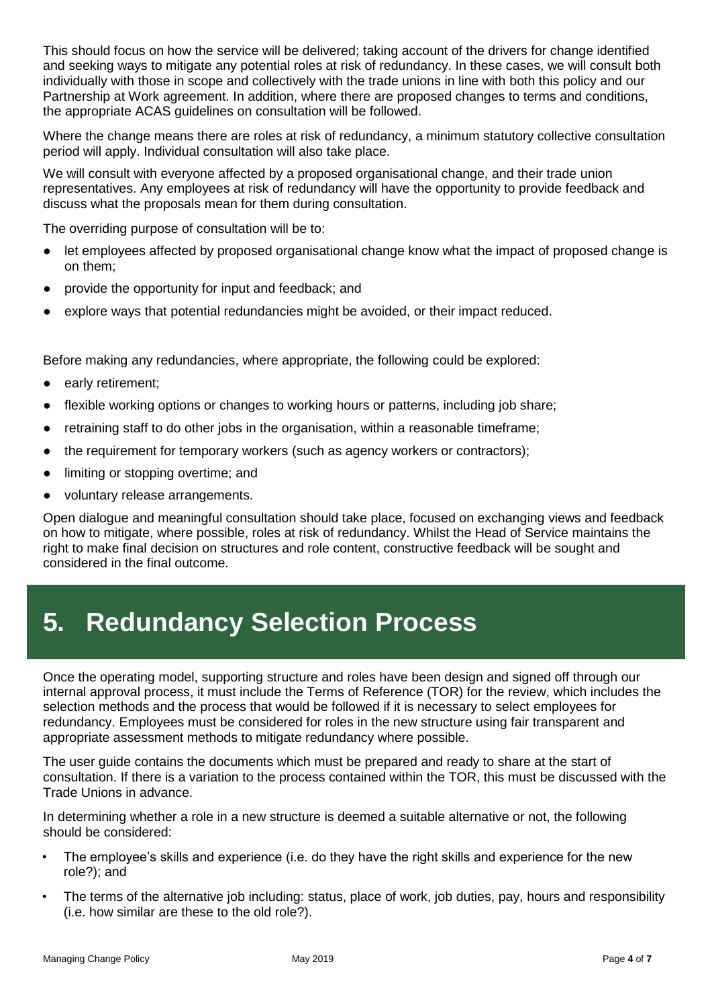This should focus on how the service will be delivered; taking account of the drivers for change identified and seeking ways to mitigate any potential roles at risk of redundancy. In these cases, we will consult both individually with those in scope and collectively with the trade unions in line with both this policy and our Partnership at Work agreement. In addition, where there are proposed changes to terms and conditions, the appropriate ACAS guidelines on consultation will be followed.

Where the change means there are roles at risk of redundancy, a minimum statutory collective consultation period will apply. Individual consultation will also take place.

We will consult with everyone affected by a proposed organisational change, and their trade union representatives. Any employees at risk of redundancy will have the opportunity to provide feedback and discuss what the proposals mean for them during consultation.

The overriding purpose of consultation will be to:

- let employees affected by proposed organisational change know what the impact of proposed change is on them;
- provide the opportunity for input and feedback; and
- explore ways that potential redundancies might be avoided, or their impact reduced.

Before making any redundancies, where appropriate, the following could be explored:

- early retirement;
- flexible working options or changes to working hours or patterns, including job share;
- retraining staff to do other jobs in the organisation, within a reasonable timeframe;
- the requirement for temporary workers (such as agency workers or contractors);
- limiting or stopping overtime; and
- voluntary release arrangements.

Open dialogue and meaningful consultation should take place, focused on exchanging views and feedback on how to mitigate, where possible, roles at risk of redundancy. Whilst the Head of Service maintains the right to make final decision on structures and role content, constructive feedback will be sought and considered in the final outcome.

### <span id="page-3-0"></span>**5. Redundancy Selection Process**

Once the operating model, supporting structure and roles have been design and signed off through our internal approval process, it must include the Terms of Reference (TOR) for the review, which includes the selection methods and the process that would be followed if it is necessary to select employees for redundancy. Employees must be considered for roles in the new structure using fair transparent and appropriate assessment methods to mitigate redundancy where possible.

The user guide contains the documents which must be prepared and ready to share at the start of consultation. If there is a variation to the process contained within the TOR, this must be discussed with the Trade Unions in advance.

In determining whether a role in a new structure is deemed a suitable alternative or not, the following should be considered:

- The employee's skills and experience (i.e. do they have the right skills and experience for the new role?); and
- The terms of the alternative job including: status, place of work, job duties, pay, hours and responsibility (i.e. how similar are these to the old role?).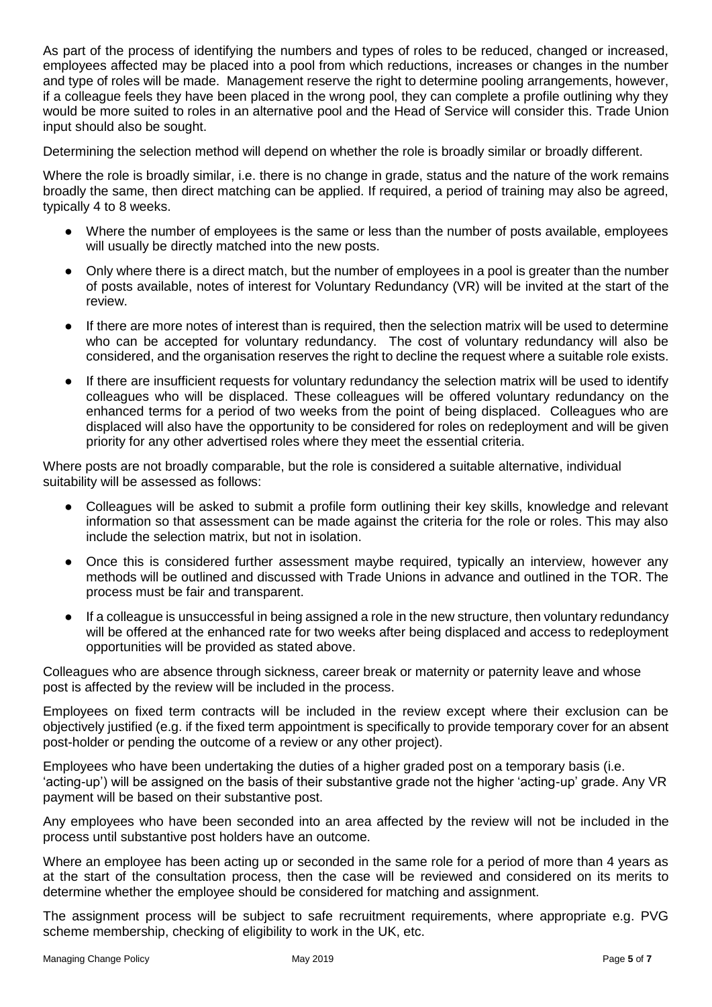As part of the process of identifying the numbers and types of roles to be reduced, changed or increased, employees affected may be placed into a pool from which reductions, increases or changes in the number and type of roles will be made. Management reserve the right to determine pooling arrangements, however, if a colleague feels they have been placed in the wrong pool, they can complete a profile outlining why they would be more suited to roles in an alternative pool and the Head of Service will consider this. Trade Union input should also be sought.

Determining the selection method will depend on whether the role is broadly similar or broadly different.

Where the role is broadly similar, i.e. there is no change in grade, status and the nature of the work remains broadly the same, then direct matching can be applied. If required, a period of training may also be agreed, typically 4 to 8 weeks.

- Where the number of employees is the same or less than the number of posts available, employees will usually be directly matched into the new posts.
- Only where there is a direct match, but the number of employees in a pool is greater than the number of posts available, notes of interest for Voluntary Redundancy (VR) will be invited at the start of the review.
- If there are more notes of interest than is required, then the selection matrix will be used to determine who can be accepted for voluntary redundancy. The cost of voluntary redundancy will also be considered, and the organisation reserves the right to decline the request where a suitable role exists.
- If there are insufficient requests for voluntary redundancy the selection matrix will be used to identify colleagues who will be displaced. These colleagues will be offered voluntary redundancy on the enhanced terms for a period of two weeks from the point of being displaced. Colleagues who are displaced will also have the opportunity to be considered for roles on redeployment and will be given priority for any other advertised roles where they meet the essential criteria.

Where posts are not broadly comparable, but the role is considered a suitable alternative, individual suitability will be assessed as follows:

- Colleagues will be asked to submit a profile form outlining their key skills, knowledge and relevant information so that assessment can be made against the criteria for the role or roles. This may also include the selection matrix, but not in isolation.
- Once this is considered further assessment maybe required, typically an interview, however any methods will be outlined and discussed with Trade Unions in advance and outlined in the TOR. The process must be fair and transparent.
- If a colleague is unsuccessful in being assigned a role in the new structure, then voluntary redundancy will be offered at the enhanced rate for two weeks after being displaced and access to redeployment opportunities will be provided as stated above.

Colleagues who are absence through sickness, career break or maternity or paternity leave and whose post is affected by the review will be included in the process.

Employees on fixed term contracts will be included in the review except where their exclusion can be objectively justified (e.g. if the fixed term appointment is specifically to provide temporary cover for an absent post-holder or pending the outcome of a review or any other project).

Employees who have been undertaking the duties of a higher graded post on a temporary basis (i.e. 'acting-up') will be assigned on the basis of their substantive grade not the higher 'acting-up' grade. Any VR payment will be based on their substantive post.

Any employees who have been seconded into an area affected by the review will not be included in the process until substantive post holders have an outcome.

Where an employee has been acting up or seconded in the same role for a period of more than 4 years as at the start of the consultation process, then the case will be reviewed and considered on its merits to determine whether the employee should be considered for matching and assignment.

The assignment process will be subject to safe recruitment requirements, where appropriate e.g. PVG scheme membership, checking of eligibility to work in the UK, etc.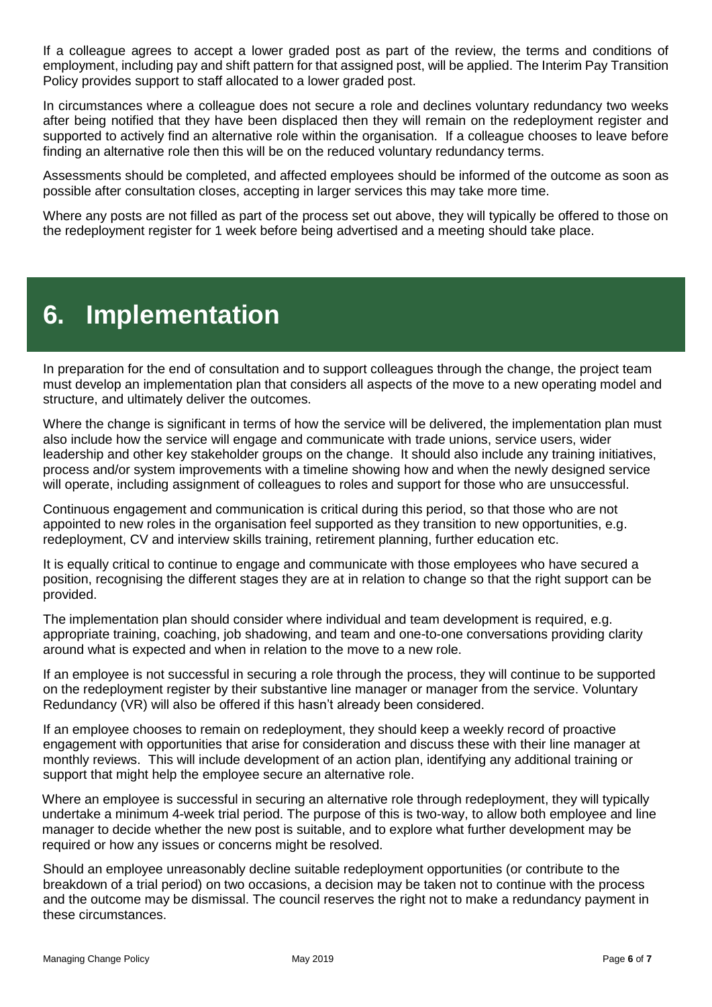If a colleague agrees to accept a lower graded post as part of the review, the terms and conditions of employment, including pay and shift pattern for that assigned post, will be applied. The Interim Pay Transition Policy provides support to staff allocated to a lower graded post.

In circumstances where a colleague does not secure a role and declines voluntary redundancy two weeks after being notified that they have been displaced then they will remain on the redeployment register and supported to actively find an alternative role within the organisation. If a colleague chooses to leave before finding an alternative role then this will be on the reduced voluntary redundancy terms.

Assessments should be completed, and affected employees should be informed of the outcome as soon as possible after consultation closes, accepting in larger services this may take more time.

Where any posts are not filled as part of the process set out above, they will typically be offered to those on the redeployment register for 1 week before being advertised and a meeting should take place.

### <span id="page-5-0"></span>**6. Implementation**

In preparation for the end of consultation and to support colleagues through the change, the project team must develop an implementation plan that considers all aspects of the move to a new operating model and structure, and ultimately deliver the outcomes.

Where the change is significant in terms of how the service will be delivered, the implementation plan must also include how the service will engage and communicate with trade unions, service users, wider leadership and other key stakeholder groups on the change. It should also include any training initiatives, process and/or system improvements with a timeline showing how and when the newly designed service will operate, including assignment of colleagues to roles and support for those who are unsuccessful.

Continuous engagement and communication is critical during this period, so that those who are not appointed to new roles in the organisation feel supported as they transition to new opportunities, e.g. redeployment, CV and interview skills training, retirement planning, further education etc.

It is equally critical to continue to engage and communicate with those employees who have secured a position, recognising the different stages they are at in relation to change so that the right support can be provided.

The implementation plan should consider where individual and team development is required, e.g. appropriate training, coaching, job shadowing, and team and one-to-one conversations providing clarity around what is expected and when in relation to the move to a new role.

If an employee is not successful in securing a role through the process, they will continue to be supported on the redeployment register by their substantive line manager or manager from the service. Voluntary Redundancy (VR) will also be offered if this hasn't already been considered.

If an employee chooses to remain on redeployment, they should keep a weekly record of proactive engagement with opportunities that arise for consideration and discuss these with their line manager at monthly reviews. This will include development of an action plan, identifying any additional training or support that might help the employee secure an alternative role.

Where an employee is successful in securing an alternative role through redeployment, they will typically undertake a minimum 4-week trial period. The purpose of this is two-way, to allow both employee and line manager to decide whether the new post is suitable, and to explore what further development may be required or how any issues or concerns might be resolved.

Should an employee unreasonably decline suitable redeployment opportunities (or contribute to the breakdown of a trial period) on two occasions, a decision may be taken not to continue with the process and the outcome may be dismissal. The council reserves the right not to make a redundancy payment in these circumstances.